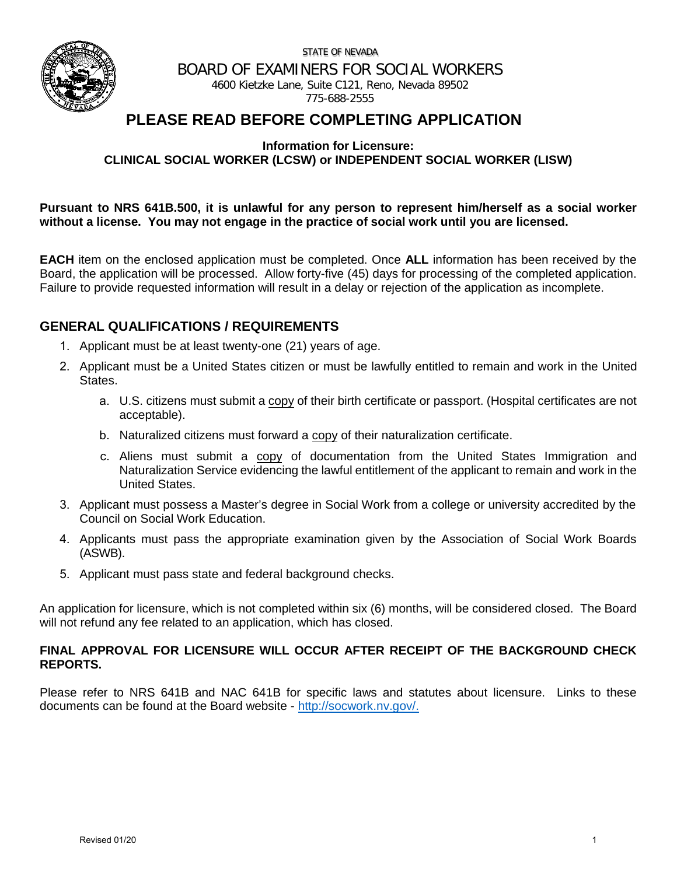STATE OF NEVADA



BOARD OF EXAMINERS FOR SOCIAL WORKERS

4600 Kietzke Lane, Suite C121, Reno, Nevada 89502 775-688-2555

# **PLEASE READ BEFORE COMPLETING APPLICATION**

**Information for Licensure:** 

**CLINICAL SOCIAL WORKER (LCSW) or INDEPENDENT SOCIAL WORKER (LISW)**

**Pursuant to NRS 641B.500, it is unlawful for any person to represent him/herself as a social worker without a license. You may not engage in the practice of social work until you are licensed.**

**EACH** item on the enclosed application must be completed. Once **ALL** information has been received by the Board, the application will be processed. Allow forty-five (45) days for processing of the completed application. Failure to provide requested information will result in a delay or rejection of the application as incomplete.

### **GENERAL QUALIFICATIONS / REQUIREMENTS**

- 1. Applicant must be at least twenty-one (21) years of age.
- 2. Applicant must be a United States citizen or must be lawfully entitled to remain and work in the United States.
	- a. U.S. citizens must submit a copy of their birth certificate or passport. (Hospital certificates are not acceptable).
	- b. Naturalized citizens must forward a copy of their naturalization certificate.
	- c. Aliens must submit a copy of documentation from the United States Immigration and Naturalization Service evidencing the lawful entitlement of the applicant to remain and work in the United States.
- 3. Applicant must possess a Master's degree in Social Work from a college or university accredited by the Council on Social Work Education.
- 4. Applicants must pass the appropriate examination given by the Association of Social Work Boards (ASWB).
- 5. Applicant must pass state and federal background checks.

An application for licensure, which is not completed within six (6) months, will be considered closed. The Board will not refund any fee related to an application, which has closed.

#### **FINAL APPROVAL FOR LICENSURE WILL OCCUR AFTER RECEIPT OF THE BACKGROUND CHECK REPORTS.**

Please refer to NRS 641B and NAC 641B for specific laws and statutes about licensure. Links to these documents can be found at the Board website - [http://socwork.nv.gov/.](http://socwork.nv.gov/)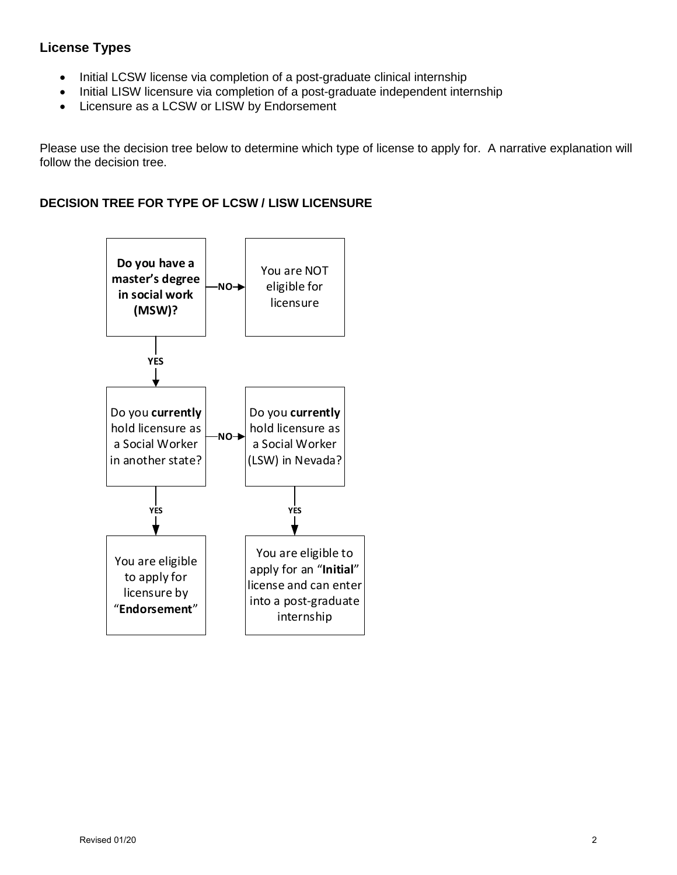# **License Types**

- Initial LCSW license via completion of a post-graduate clinical internship
- Initial LISW licensure via completion of a post-graduate independent internship
- Licensure as a LCSW or LISW by Endorsement

Please use the decision tree below to determine which type of license to apply for. A narrative explanation will follow the decision tree.

### **DECISION TREE FOR TYPE OF LCSW / LISW LICENSURE**

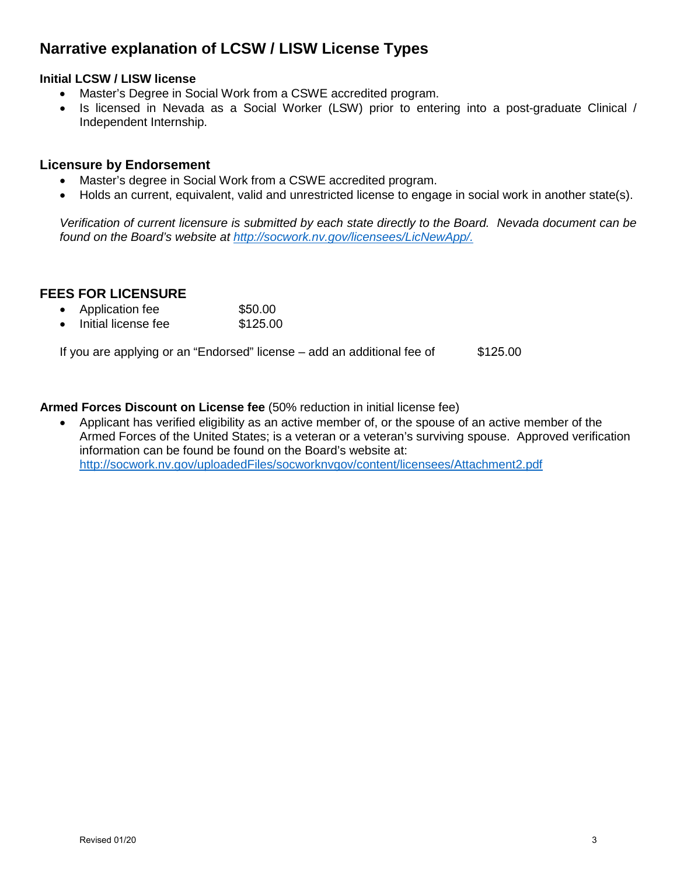# **Narrative explanation of LCSW / LISW License Types**

#### **Initial LCSW / LISW license**

- Master's Degree in Social Work from a CSWE accredited program.
- Is licensed in Nevada as a Social Worker (LSW) prior to entering into a post-graduate Clinical / Independent Internship.

#### **Licensure by Endorsement**

- Master's degree in Social Work from a CSWE accredited program.
- Holds an current, equivalent, valid and unrestricted license to engage in social work in another state(s).

*Verification of current licensure is submitted by each state directly to the Board. Nevada document can be found on the Board's website at http://socwork.nv.gov/licensees/LicNewApp/.*

### **FEES FOR LICENSURE**

- Application fee \$50.00
- Initial license fee \$125.00

If you are applying or an "Endorsed" license  $-$  add an additional fee of  $$125.00$ 

**Armed Forces Discount on License fee** (50% reduction in initial license fee)

• Applicant has verified eligibility as an active member of, or the spouse of an active member of the Armed Forces of the United States; is a veteran or a veteran's surviving spouse. Approved verification information can be found be found on the Board's website at: <http://socwork.nv.gov/uploadedFiles/socworknvgov/content/licensees/Attachment2.pdf>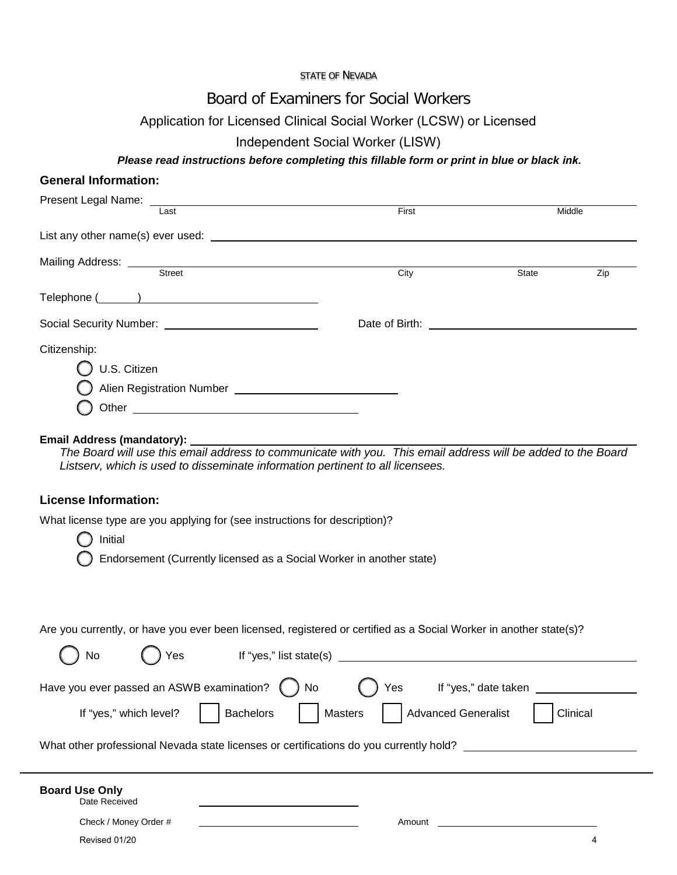STATE OF NEVADA

# Board of Examiners for Social Workers

# Application for Licensed Clinical Social Worker (LCSW) or Licensed

# Independent Social Worker (LISW)

## *Please read instructions before completing this fillable form or print in blue or black ink.*

| <b>General Information:</b>                                                                                                                                                                                                                                                    |                                              |                      |          |
|--------------------------------------------------------------------------------------------------------------------------------------------------------------------------------------------------------------------------------------------------------------------------------|----------------------------------------------|----------------------|----------|
| Present Legal Name: ___<br>Last                                                                                                                                                                                                                                                | First                                        | Middle               |          |
|                                                                                                                                                                                                                                                                                |                                              |                      |          |
|                                                                                                                                                                                                                                                                                |                                              |                      |          |
|                                                                                                                                                                                                                                                                                |                                              |                      |          |
|                                                                                                                                                                                                                                                                                | City                                         | State                | Zip      |
|                                                                                                                                                                                                                                                                                |                                              |                      |          |
|                                                                                                                                                                                                                                                                                |                                              |                      |          |
| Citizenship:                                                                                                                                                                                                                                                                   |                                              |                      |          |
| U.S. Citizen                                                                                                                                                                                                                                                                   |                                              |                      |          |
|                                                                                                                                                                                                                                                                                |                                              |                      |          |
| Other <b>Communication</b> Changes and Changes and Changes and Changes and Changes and Changes and Changes and Changes and Changes and Changes and Changes and Changes and Changes and Changes and Changes and Changes and Changes                                             |                                              |                      |          |
| Email Address (mandatory):                                                                                                                                                                                                                                                     |                                              |                      |          |
| Listserv, which is used to disseminate information pertinent to all licensees.<br><b>License Information:</b><br>What license type are you applying for (see instructions for description)?<br>Initial<br>Endorsement (Currently licensed as a Social Worker in another state) |                                              |                      |          |
| Are you currently, or have you ever been licensed, registered or certified as a Social Worker in another state(s)?<br>No<br>Yes                                                                                                                                                |                                              |                      |          |
|                                                                                                                                                                                                                                                                                |                                              |                      |          |
| Have you ever passed an ASWB examination?                                                                                                                                                                                                                                      | No<br>Yes                                    | If "yes," date taken |          |
| <b>Bachelors</b><br>If "yes," which level?                                                                                                                                                                                                                                     | <b>Masters</b><br><b>Advanced Generalist</b> |                      | Clinical |
| What other professional Nevada state licenses or certifications do you currently hold?                                                                                                                                                                                         |                                              |                      |          |
| <b>Board Use Only</b><br>Date Received<br>Check / Money Order #                                                                                                                                                                                                                | Amount                                       |                      |          |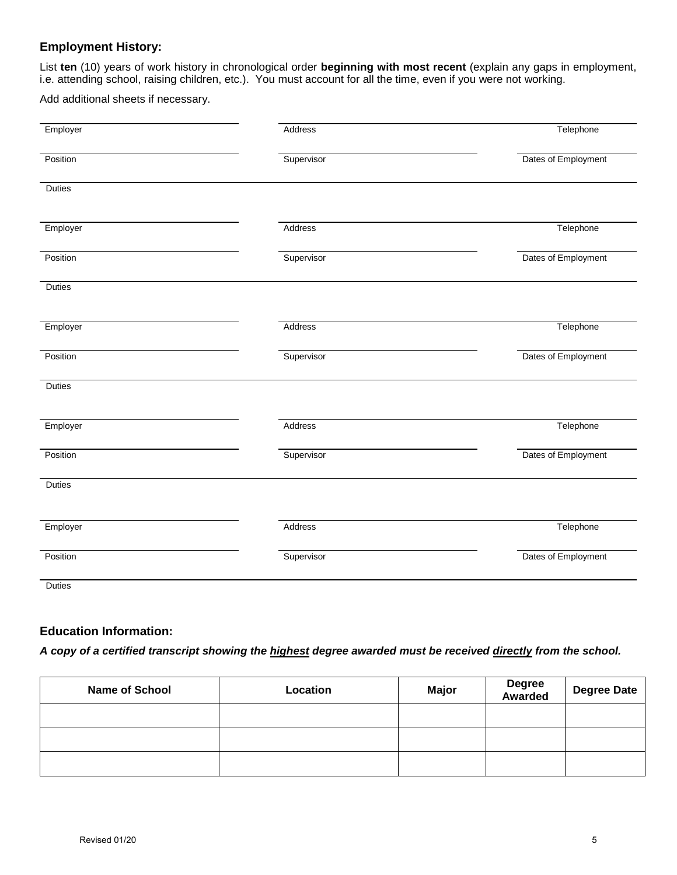#### **Employment History:**

List **ten** (10) years of work history in chronological order **beginning with most recent** (explain any gaps in employment, i.e. attending school, raising children, etc.). You must account for all the time, even if you were not working.

Add additional sheets if necessary.

| Employer      | Address    | Telephone           |
|---------------|------------|---------------------|
| Position      | Supervisor | Dates of Employment |
| <b>Duties</b> |            |                     |
| Employer      | Address    | Telephone           |
| Position      | Supervisor | Dates of Employment |
| <b>Duties</b> |            |                     |
| Employer      | Address    | Telephone           |
| Position      | Supervisor | Dates of Employment |
| <b>Duties</b> |            |                     |
| Employer      | Address    | Telephone           |
| Position      | Supervisor | Dates of Employment |
| Duties        |            |                     |
| Employer      | Address    | Telephone           |
| Position      | Supervisor | Dates of Employment |
| Duties        |            |                     |

#### **Education Information:**

*A copy of a certified transcript showing the highest degree awarded must be received directly from the school.*

| <b>Name of School</b> | Location | <b>Major</b> | Degree<br>Awarded | <b>Degree Date</b> |
|-----------------------|----------|--------------|-------------------|--------------------|
|                       |          |              |                   |                    |
|                       |          |              |                   |                    |
|                       |          |              |                   |                    |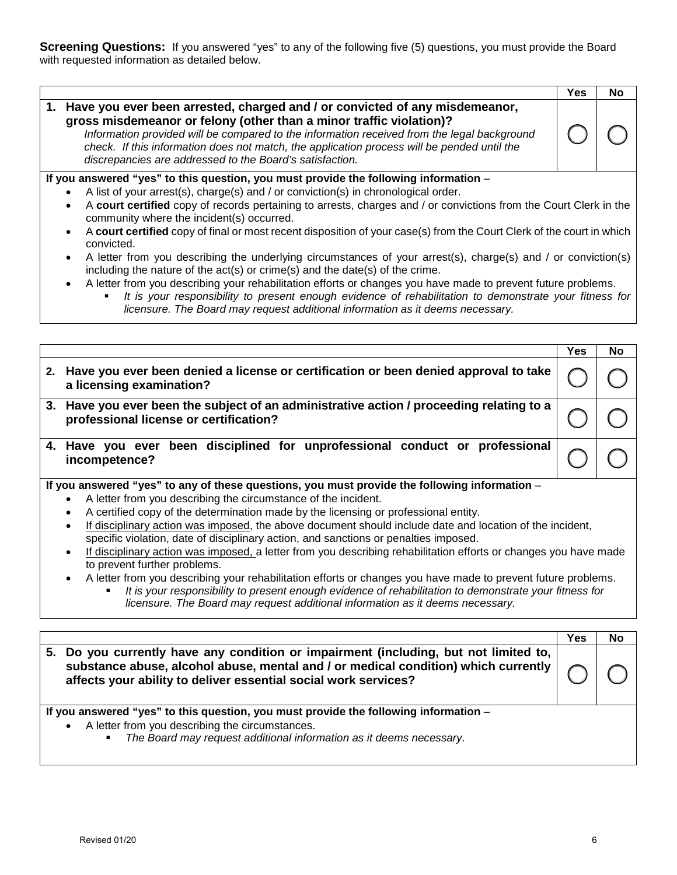**Screening Questions:** If you answered "yes" to any of the following five (5) questions, you must provide the Board with requested information as detailed below.

|                                                                                                                                                                                                                                                                                                                                                                                                                 | Yes | No |
|-----------------------------------------------------------------------------------------------------------------------------------------------------------------------------------------------------------------------------------------------------------------------------------------------------------------------------------------------------------------------------------------------------------------|-----|----|
| 1. Have you ever been arrested, charged and / or convicted of any misdemeanor,<br>gross misdemeanor or felony (other than a minor traffic violation)?<br>Information provided will be compared to the information received from the legal background<br>check. If this information does not match, the application process will be pended until the<br>discrepancies are addressed to the Board's satisfaction. |     |    |
| If you answered "yes" to this question, you must provide the following information -                                                                                                                                                                                                                                                                                                                            |     |    |
| A list of your arrest(s), charge(s) and / or conviction(s) in chronological order.<br>$\bullet$                                                                                                                                                                                                                                                                                                                 |     |    |
| A court certified copy of records pertaining to arrests, charges and / or convictions from the Court Clerk in the                                                                                                                                                                                                                                                                                               |     |    |

- community where the incident(s) occurred.
- A **court certified** copy of final or most recent disposition of your case(s) from the Court Clerk of the court in which convicted.
- A letter from you describing the underlying circumstances of your arrest(s), charge(s) and / or conviction(s) including the nature of the act(s) or crime(s) and the date(s) of the crime.
	- A letter from you describing your rehabilitation efforts or changes you have made to prevent future problems.
		- *It is your responsibility to present enough evidence of rehabilitation to demonstrate your fitness for licensure. The Board may request additional information as it deems necessary.*

|                                                                                                                       |                                                                                                                                    | Yes | <b>No</b> |
|-----------------------------------------------------------------------------------------------------------------------|------------------------------------------------------------------------------------------------------------------------------------|-----|-----------|
| 2.                                                                                                                    | Have you ever been denied a license or certification or been denied approval to take<br>a licensing examination?                   |     |           |
|                                                                                                                       | 3. Have you ever been the subject of an administrative action / proceeding relating to a<br>professional license or certification? |     |           |
|                                                                                                                       | 4. Have you ever been disciplined for unprofessional conduct or professional<br>incompetence?                                      |     |           |
|                                                                                                                       | If you answered "yes" to any of these questions, you must provide the following information -                                      |     |           |
|                                                                                                                       | A letter from you describing the circumstance of the incident.                                                                     |     |           |
|                                                                                                                       | A certified copy of the determination made by the licensing or professional entity.<br>$\bullet$                                   |     |           |
| If disciplinary action was imposed, the above document should include date and location of the incident,<br>$\bullet$ |                                                                                                                                    |     |           |
|                                                                                                                       | specific violation, date of disciplinary action, and sanctions or penalties imposed.                                               |     |           |
|                                                                                                                       | If disciplinary action was imposed, a letter from you describing rehabilitation efforts or changes you have made<br>$\bullet$      |     |           |

- If disciplinary action was imposed, a letter from you describing rehabilitation efforts or changes you have made to prevent further problems.
	- A letter from you describing your rehabilitation efforts or changes you have made to prevent future problems.
		- *It is your responsibility to present enough evidence of rehabilitation to demonstrate your fitness for licensure. The Board may request additional information as it deems necessary.*

|                                                                                                                                                                                                                                                 | Yes | Nc |
|-------------------------------------------------------------------------------------------------------------------------------------------------------------------------------------------------------------------------------------------------|-----|----|
| 5. Do you currently have any condition or impairment (including, but not limited to,<br>substance abuse, alcohol abuse, mental and / or medical condition) which currently  <br>affects your ability to deliver essential social work services? |     |    |
| If you answered "yes" to this question, you must provide the following information -<br>A letter from you describing the circumstances.<br>$\bullet$<br>The Board may request additional information as it deems necessary.<br>$\mathbf{m}$     |     |    |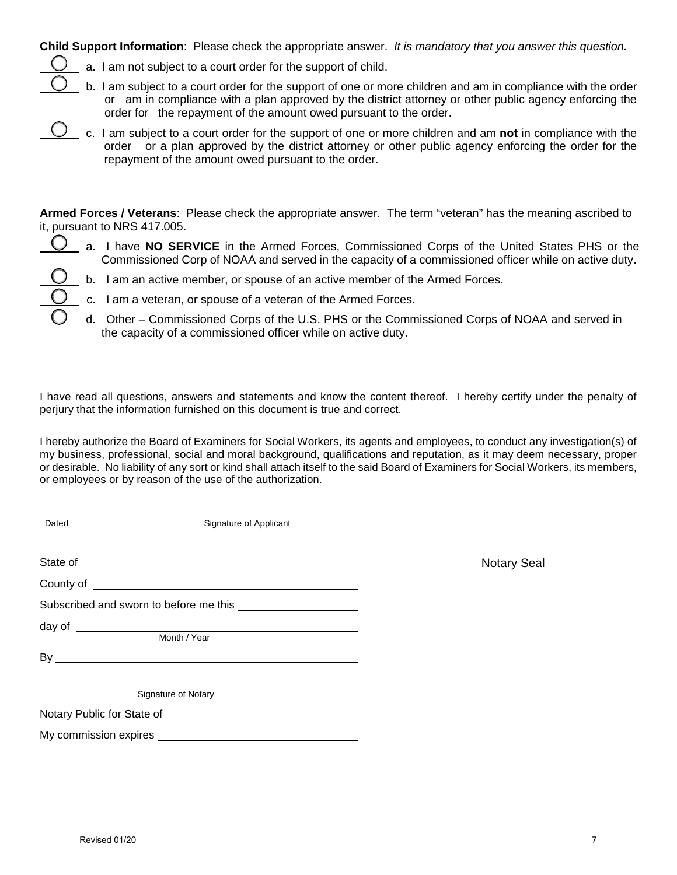**Child Support Information**: Please check the appropriate answer. *It is mandatory that you answer this question.*

a. I am not subject to a court order for the support of child.



b. I am subject to a court order for the support of one or more children and am in compliance with the order or am in compliance with a plan approved by the district attorney or other public agency enforcing the order for the repayment of the amount owed pursuant to the order.

c. I am subject to a court order for the support of one or more children and am **not** in compliance with the order or a plan approved by the district attorney or other public agency enforcing the order for the repayment of the amount owed pursuant to the order.

**Armed Forces / Veterans**: Please check the appropriate answer. The term "veteran" has the meaning ascribed to it, pursuant to NRS 417.005.

a. I have **NO SERVICE** in the Armed Forces, Commissioned Corps of the United States PHS or the Commissioned Corp of NOAA and served in the capacity of a commissioned officer while on active duty.

- b. I am an active member, or spouse of an active member of the Armed Forces.
- c. I am a veteran, or spouse of a veteran of the Armed Forces.
- d. Other Commissioned Corps of the U.S. PHS or the Commissioned Corps of NOAA and served in the capacity of a commissioned officer while on active duty.

I have read all questions, answers and statements and know the content thereof. I hereby certify under the penalty of perjury that the information furnished on this document is true and correct.

I hereby authorize the Board of Examiners for Social Workers, its agents and employees, to conduct any investigation(s) of my business, professional, social and moral background, qualifications and reputation, as it may deem necessary, proper or desirable. No liability of any sort or kind shall attach itself to the said Board of Examiners for Social Workers, its members, or employees or by reason of the use of the authorization.

| Dated | Signature of Applicant                                                                                                                                                                                                               |                    |
|-------|--------------------------------------------------------------------------------------------------------------------------------------------------------------------------------------------------------------------------------------|--------------------|
|       |                                                                                                                                                                                                                                      |                    |
|       |                                                                                                                                                                                                                                      | <b>Notary Seal</b> |
|       |                                                                                                                                                                                                                                      |                    |
|       |                                                                                                                                                                                                                                      |                    |
|       |                                                                                                                                                                                                                                      |                    |
|       | Month / Year                                                                                                                                                                                                                         |                    |
|       |                                                                                                                                                                                                                                      |                    |
|       |                                                                                                                                                                                                                                      |                    |
|       | Signature of Notary                                                                                                                                                                                                                  |                    |
|       | Notary Public for State of The Contract of The Contract of The Contract of The Contract of The Contract of The Contract of The Contract of The Contract of The Contract of The Contract of The Contract of The Contract of The       |                    |
|       | My commission expires <b>example and the service of the service of the service of the service of the service of the service of the service of the service of the service of the service of the service of the service of the ser</b> |                    |